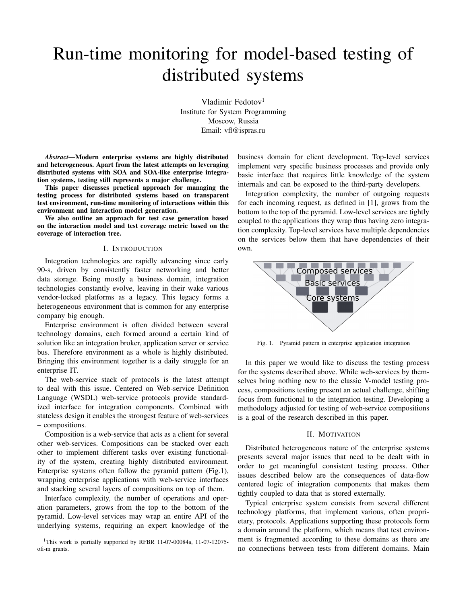# Run-time monitoring for model-based testing of distributed systems

Vladimir Fedotov $1$ Institute for System Programming Moscow, Russia Email: vfl@ispras.ru

*Abstract*—Modern enterprise systems are highly distributed and heterogeneous. Apart from the latest attempts on leveraging distributed systems with SOA and SOA-like enterprise integration systems, testing still represents a major challenge.

This paper discusses practical approach for managing the testing process for distributed systems based on transparent test environment, run-time monitoring of interactions within this environment and interaction model generation.

We also outline an approach for test case generation based on the interaction model and test coverage metric based on the coverage of interaction tree.

#### I. INTRODUCTION

Integration technologies are rapidly advancing since early 90-s, driven by consistently faster networking and better data storage. Being mostly a business domain, integration technologies constantly evolve, leaving in their wake various vendor-locked platforms as a legacy. This legacy forms a heterogeneous environment that is common for any enterprise company big enough.

Enterprise environment is often divided between several technology domains, each formed around a certain kind of solution like an integration broker, application server or service bus. Therefore environment as a whole is highly distributed. Bringing this environment together is a daily struggle for an enterprise IT.

The web-service stack of protocols is the latest attempt to deal with this issue. Centered on Web-service Definition Language (WSDL) web-service protocols provide standardized interface for integration components. Combined with stateless design it enables the strongest feature of web-services – compositions.

Composition is a web-service that acts as a client for several other web-services. Compositions can be stacked over each other to implement different tasks over existing functionality of the system, creating highly distributed environment. Enterprise systems often follow the pyramid pattern (Fig.1), wrapping enterprise applications with web-service interfaces and stacking several layers of compositions on top of them.

Interface complexity, the number of operations and operation parameters, grows from the top to the bottom of the pyramid. Low-level services may wrap an entire API of the underlying systems, requiring an expert knowledge of the

<sup>1</sup>This work is partially supported by RFBR 11-07-00084a, 11-07-12075ofi-m grants.

business domain for client development. Top-level services implement very specific business processes and provide only basic interface that requires little knowledge of the system internals and can be exposed to the third-party developers.

Integration complexity, the number of outgoing requests for each incoming request, as defined in [1], grows from the bottom to the top of the pyramid. Low-level services are tightly coupled to the applications they wrap thus having zero integration complexity. Top-level services have multiple dependencies on the services below them that have dependencies of their own.



Fig. 1. Pyramid pattern in enterprise application integration

In this paper we would like to discuss the testing process for the systems described above. While web-services by themselves bring nothing new to the classic V-model testing process, compositions testing present an actual challenge, shifting focus from functional to the integration testing. Developing a methodology adjusted for testing of web-service compositions is a goal of the research described in this paper.

#### II. MOTIVATION

Distributed heterogeneous nature of the enterprise systems presents several major issues that need to be dealt with in order to get meaningful consistent testing process. Other issues described below are the consequences of data-flow centered logic of integration components that makes them tightly coupled to data that is stored externally.

Typical enterprise system consists from several different technology platforms, that implement various, often proprietary, protocols. Applications supporting these protocols form a domain around the platform, which means that test environment is fragmented according to these domains as there are no connections between tests from different domains. Main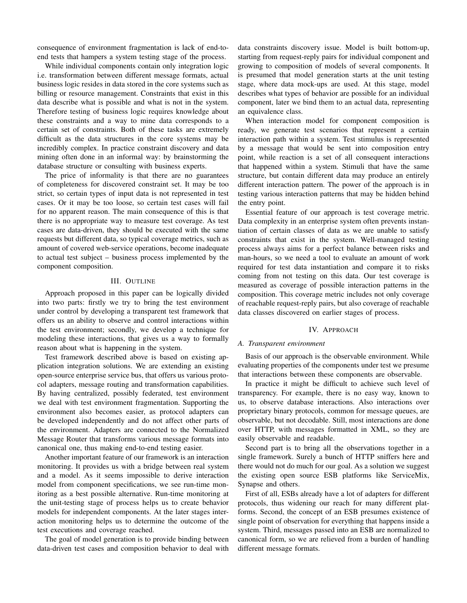consequence of environment fragmentation is lack of end-toend tests that hampers a system testing stage of the process.

While individual components contain only integration logic i.e. transformation between different message formats, actual business logic resides in data stored in the core systems such as billing or resource management. Constraints that exist in this data describe what is possible and what is not in the system. Therefore testing of business logic requires knowledge about these constraints and a way to mine data corresponds to a certain set of constraints. Both of these tasks are extremely difficult as the data structures in the core systems may be incredibly complex. In practice constraint discovery and data mining often done in an informal way: by brainstorming the database structure or consulting with business experts.

The price of informality is that there are no guarantees of completeness for discovered constraint set. It may be too strict, so certain types of input data is not represented in test cases. Or it may be too loose, so certain test cases will fail for no apparent reason. The main consequence of this is that there is no appropriate way to measure test coverage. As test cases are data-driven, they should be executed with the same requests but different data, so typical coverage metrics, such as amount of covered web-service operations, become inadequate to actual test subject – business process implemented by the component composition.

# III. OUTLINE

Approach proposed in this paper can be logically divided into two parts: firstly we try to bring the test environment under control by developing a transparent test framework that offers us an ability to observe and control interactions within the test environment; secondly, we develop a technique for modeling these interactions, that gives us a way to formally reason about what is happening in the system.

Test framework described above is based on existing application integration solutions. We are extending an existing open-source enterprise service bus, that offers us various protocol adapters, message routing and transformation capabilities. By having centralized, possibly federated, test environment we deal with test environment fragmentation. Supporting the environment also becomes easier, as protocol adapters can be developed independently and do not affect other parts of the environment. Adapters are connected to the Normalized Message Router that transforms various message formats into canonical one, thus making end-to-end testing easier.

Another important feature of our framework is an interaction monitoring. It provides us with a bridge between real system and a model. As it seems impossible to derive interaction model from component specifications, we see run-time monitoring as a best possible alternative. Run-time monitoring at the unit-testing stage of process helps us to create behavior models for independent components. At the later stages interaction monitoring helps us to determine the outcome of the test executions and coverage reached.

The goal of model generation is to provide binding between data-driven test cases and composition behavior to deal with data constraints discovery issue. Model is built bottom-up, starting from request-reply pairs for individual component and growing to composition of models of several components. It is presumed that model generation starts at the unit testing stage, where data mock-ups are used. At this stage, model describes what types of behavior are possible for an individual component, later we bind them to an actual data, representing an equivalence class.

When interaction model for component composition is ready, we generate test scenarios that represent a certain interaction path within a system. Test stimulus is represented by a message that would be sent into composition entry point, while reaction is a set of all consequent interactions that happened within a system. Stimuli that have the same structure, but contain different data may produce an entirely different interaction pattern. The power of the approach is in testing various interaction patterns that may be hidden behind the entry point.

Essential feature of our approach is test coverage metric. Data complexity in an enterprise system often prevents instantiation of certain classes of data as we are unable to satisfy constraints that exist in the system. Well-managed testing process always aims for a perfect balance between risks and man-hours, so we need a tool to evaluate an amount of work required for test data instantiation and compare it to risks coming from not testing on this data. Our test coverage is measured as coverage of possible interaction patterns in the composition. This coverage metric includes not only coverage of reachable request-reply pairs, but also coverage of reachable data classes discovered on earlier stages of process.

### IV. APPROACH

# *A. Transparent environment*

Basis of our approach is the observable environment. While evaluating properties of the components under test we presume that interactions between these components are observable.

In practice it might be difficult to achieve such level of transparency. For example, there is no easy way, known to us, to observe database interactions. Also interactions over proprietary binary protocols, common for message queues, are observable, but not decodable. Still, most interactions are done over HTTP, with messages formatted in XML, so they are easily observable and readable.

Second part is to bring all the observations together in a single framework. Surely a bunch of HTTP sniffers here and there would not do much for our goal. As a solution we suggest the existing open source ESB platforms like ServiceMix, Synapse and others.

First of all, ESBs already have a lot of adapters for different protocols, thus widening our reach for many different platforms. Second, the concept of an ESB presumes existence of single point of observation for everything that happens inside a system. Third, messages passed into an ESB are normalized to canonical form, so we are relieved from a burden of handling different message formats.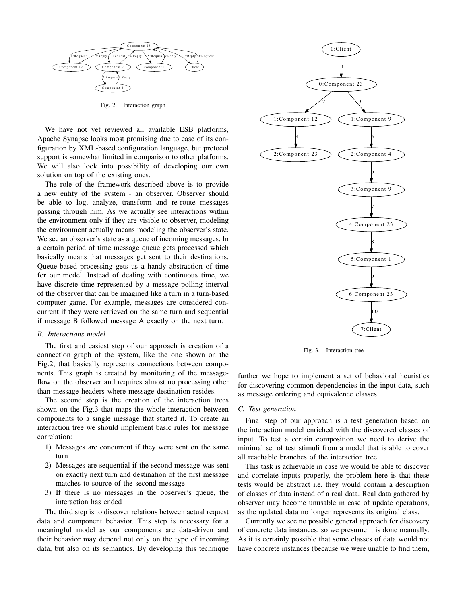

Fig. 2. Interaction graph

We have not yet reviewed all available ESB platforms, Apache Synapse looks most promising due to ease of its configuration by XML-based configuration language, but protocol support is somewhat limited in comparison to other platforms. We will also look into possibility of developing our own solution on top of the existing ones.

The role of the framework described above is to provide a new entity of the system - an observer. Observer should be able to log, analyze, transform and re-route messages passing through him. As we actually see interactions within the environment only if they are visible to observer, modeling the environment actually means modeling the observer's state. We see an observer's state as a queue of incoming messages. In a certain period of time message queue gets processed which basically means that messages get sent to their destinations. Queue-based processing gets us a handy abstraction of time for our model. Instead of dealing with continuous time, we have discrete time represented by a message polling interval of the observer that can be imagined like a turn in a turn-based computer game. For example, messages are considered concurrent if they were retrieved on the same turn and sequential if message B followed message A exactly on the next turn.

# *B. Interactions model*

The first and easiest step of our approach is creation of a connection graph of the system, like the one shown on the Fig.2, that basically represents connections between components. This graph is created by monitoring of the messageflow on the observer and requires almost no processing other than message headers where message destination resides.

The second step is the creation of the interaction trees shown on the Fig.3 that maps the whole interaction between components to a single message that started it. To create an interaction tree we should implement basic rules for message correlation:

- 1) Messages are concurrent if they were sent on the same turn
- 2) Messages are sequential if the second message was sent on exactly next turn and destination of the first message matches to source of the second message
- 3) If there is no messages in the observer's queue, the interaction has ended

The third step is to discover relations between actual request data and component behavior. This step is necessary for a meaningful model as our components are data-driven and their behavior may depend not only on the type of incoming data, but also on its semantics. By developing this technique



Fig. 3. Interaction tree

further we hope to implement a set of behavioral heuristics for discovering common dependencies in the input data, such as message ordering and equivalence classes.

#### *C. Test generation*

Final step of our approach is a test generation based on the interaction model enriched with the discovered classes of input. To test a certain composition we need to derive the minimal set of test stimuli from a model that is able to cover all reachable branches of the interaction tree.

This task is achievable in case we would be able to discover and correlate inputs properly, the problem here is that these tests would be abstract i.e. they would contain a description of classes of data instead of a real data. Real data gathered by observer may become unusable in case of update operations, as the updated data no longer represents its original class.

Currently we see no possible general approach for discovery of concrete data instances, so we presume it is done manually. As it is certainly possible that some classes of data would not have concrete instances (because we were unable to find them,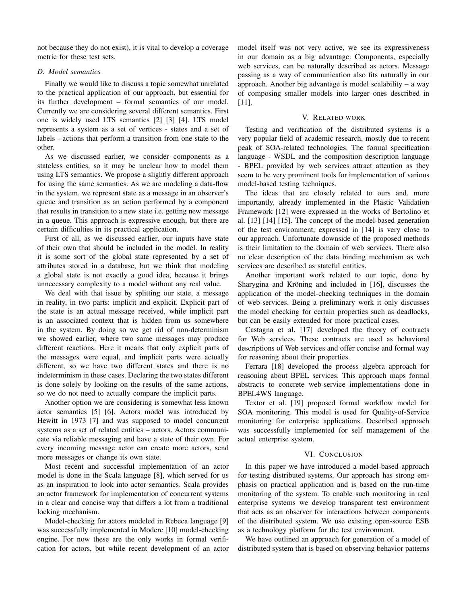not because they do not exist), it is vital to develop a coverage metric for these test sets.

# *D. Model semantics*

Finally we would like to discuss a topic somewhat unrelated to the practical application of our approach, but essential for its further development – formal semantics of our model. Currently we are considering several different semantics. First one is widely used LTS semantics [2] [3] [4]. LTS model represents a system as a set of vertices - states and a set of labels - actions that perform a transition from one state to the other.

As we discussed earlier, we consider components as a stateless entities, so it may be unclear how to model them using LTS semantics. We propose a slightly different approach for using the same semantics. As we are modeling a data-flow in the system, we represent state as a message in an observer's queue and transition as an action performed by a component that results in transition to a new state i.e. getting new message in a queue. This approach is expressive enough, but there are certain difficulties in its practical application.

First of all, as we discussed earlier, our inputs have state of their own that should be included in the model. In reality it is some sort of the global state represented by a set of attributes stored in a database, but we think that modeling a global state is not exactly a good idea, because it brings unnecessary complexity to a model without any real value.

We deal with that issue by splitting our state, a message in reality, in two parts: implicit and explicit. Explicit part of the state is an actual message received, while implicit part is an associated context that is hidden from us somewhere in the system. By doing so we get rid of non-determinism we showed earlier, where two same messages may produce different reactions. Here it means that only explicit parts of the messages were equal, and implicit parts were actually different, so we have two different states and there is no indeterminism in these cases. Declaring the two states different is done solely by looking on the results of the same actions, so we do not need to actually compare the implicit parts.

Another option we are considering is somewhat less known actor semantics [5] [6]. Actors model was introduced by Hewitt in 1973 [7] and was supposed to model concurrent systems as a set of related entities – actors. Actors communicate via reliable messaging and have a state of their own. For every incoming message actor can create more actors, send more messages or change its own state.

Most recent and successful implementation of an actor model is done in the Scala language [8], which served for us as an inspiration to look into actor semantics. Scala provides an actor framework for implementation of concurrent systems in a clear and concise way that differs a lot from a traditional locking mechanism.

Model-checking for actors modeled in Rebeca language [9] was successfully implemented in Modere [10] model-checking engine. For now these are the only works in formal verification for actors, but while recent development of an actor model itself was not very active, we see its expressiveness in our domain as a big advantage. Components, especially web services, can be naturally described as actors. Message passing as a way of communication also fits naturally in our approach. Another big advantage is model scalability – a way of composing smaller models into larger ones described in [11].

# V. RELATED WORK

Testing and verification of the distributed systems is a very popular field of academic research, mostly due to recent peak of SOA-related technologies. The formal specification language - WSDL and the composition description language - BPEL provided by web services attract attention as they seem to be very prominent tools for implementation of various model-based testing techniques.

The ideas that are closely related to ours and, more importantly, already implemented in the Plastic Validation Framework [12] were expressed in the works of Bertolino et al. [13] [14] [15]. The concept of the model-based generation of the test environment, expressed in [14] is very close to our approach. Unfortunate downside of the proposed methods is their limitation to the domain of web services. There also no clear description of the data binding mechanism as web services are described as stateful entities.

Another important work related to our topic, done by Sharygina and Kröning and included in [16], discusses the application of the model-checking techniques in the domain of web-services. Being a preliminary work it only discusses the model checking for certain properties such as deadlocks, but can be easily extended for more practical cases.

Castagna et al. [17] developed the theory of contracts for Web services. These contracts are used as behavioral descriptions of Web services and offer concise and formal way for reasoning about their properties.

Ferrara [18] developed the process algebra approach for reasoning about BPEL services. This approach maps formal abstracts to concrete web-service implementations done in BPEL4WS language.

Textor et al. [19] proposed formal workflow model for SOA monitoring. This model is used for Quality-of-Service monitoring for enterprise applications. Described approach was successfully implemented for self management of the actual enterprise system.

#### VI. CONCLUSION

In this paper we have introduced a model-based approach for testing distributed systems. Our approach has strong emphasis on practical application and is based on the run-time monitoring of the system. To enable such monitoring in real enterprise systems we develop transparent test environment that acts as an observer for interactions between components of the distributed system. We use existing open-source ESB as a technology platform for the test environment.

We have outlined an approach for generation of a model of distributed system that is based on observing behavior patterns